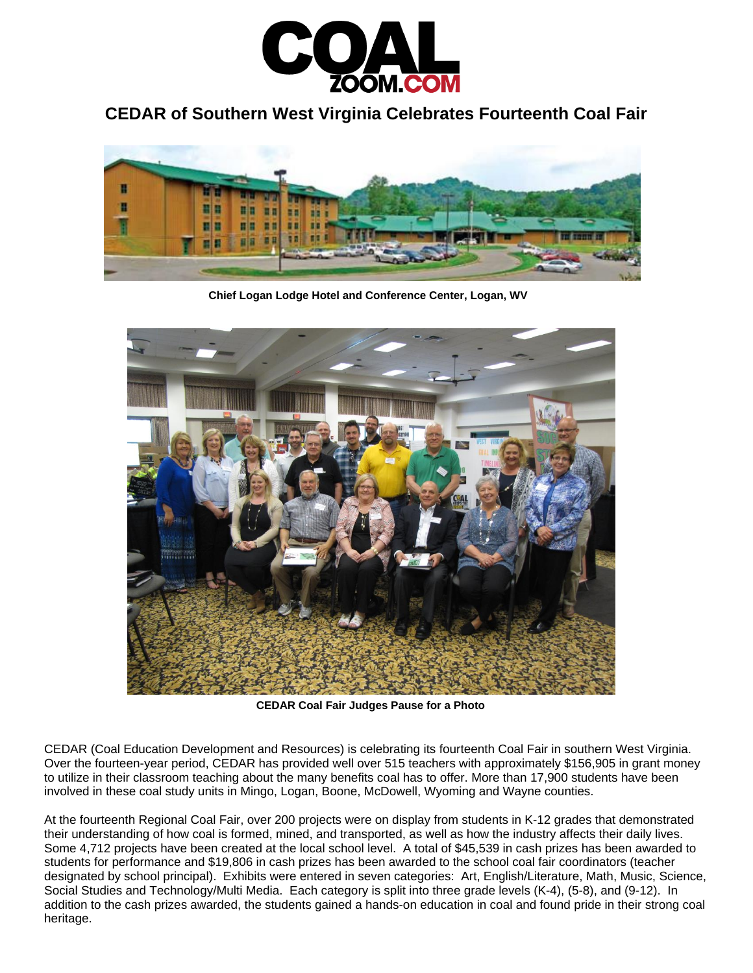

## **CEDAR of Southern West Virginia Celebrates Fourteenth Coal Fair**



**Chief Logan Lodge Hotel and Conference Center, Logan, WV**



**CEDAR Coal Fair Judges Pause for a Photo**

CEDAR (Coal Education Development and Resources) is celebrating its fourteenth Coal Fair in southern West Virginia. Over the fourteen-year period, CEDAR has provided well over 515 teachers with approximately \$156,905 in grant money to utilize in their classroom teaching about the many benefits coal has to offer. More than 17,900 students have been involved in these coal study units in Mingo, Logan, Boone, McDowell, Wyoming and Wayne counties.

At the fourteenth Regional Coal Fair, over 200 projects were on display from students in K-12 grades that demonstrated their understanding of how coal is formed, mined, and transported, as well as how the industry affects their daily lives. Some 4,712 projects have been created at the local school level. A total of \$45,539 in cash prizes has been awarded to students for performance and \$19,806 in cash prizes has been awarded to the school coal fair coordinators (teacher designated by school principal). Exhibits were entered in seven categories: Art, English/Literature, Math, Music, Science, Social Studies and Technology/Multi Media. Each category is split into three grade levels (K-4), (5-8), and (9-12). In addition to the cash prizes awarded, the students gained a hands-on education in coal and found pride in their strong coal heritage.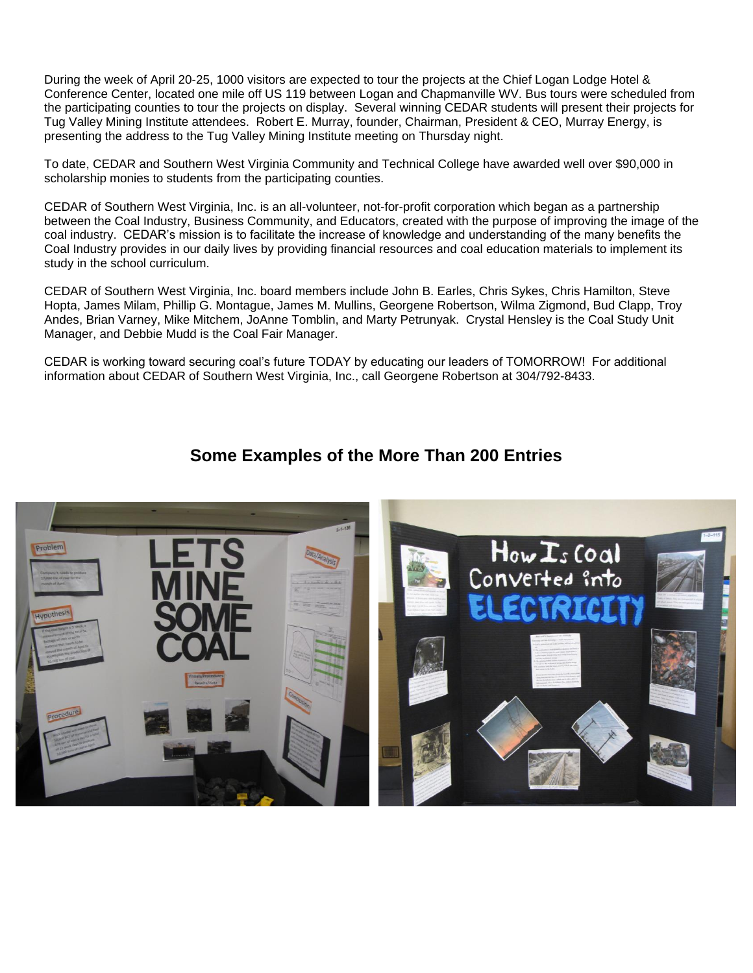During the week of April 20-25, 1000 visitors are expected to tour the projects at the Chief Logan Lodge Hotel & Conference Center, located one mile off US 119 between Logan and Chapmanville WV. Bus tours were scheduled from the participating counties to tour the projects on display. Several winning CEDAR students will present their projects for Tug Valley Mining Institute attendees. Robert E. Murray, founder, Chairman, President & CEO, Murray Energy, is presenting the address to the Tug Valley Mining Institute meeting on Thursday night.

To date, CEDAR and Southern West Virginia Community and Technical College have awarded well over \$90,000 in scholarship monies to students from the participating counties.

CEDAR of Southern West Virginia, Inc. is an all-volunteer, not-for-profit corporation which began as a partnership between the Coal Industry, Business Community, and Educators, created with the purpose of improving the image of the coal industry. CEDAR's mission is to facilitate the increase of knowledge and understanding of the many benefits the Coal Industry provides in our daily lives by providing financial resources and coal education materials to implement its study in the school curriculum.

CEDAR of Southern West Virginia, Inc. board members include John B. Earles, Chris Sykes, Chris Hamilton, Steve Hopta, James Milam, Phillip G. Montague, James M. Mullins, Georgene Robertson, Wilma Zigmond, Bud Clapp, Troy Andes, Brian Varney, Mike Mitchem, JoAnne Tomblin, and Marty Petrunyak. Crystal Hensley is the Coal Study Unit Manager, and Debbie Mudd is the Coal Fair Manager.

CEDAR is working toward securing coal's future TODAY by educating our leaders of TOMORROW! For additional information about CEDAR of Southern West Virginia, Inc., call Georgene Robertson at 304/792-8433.

## **Some Examples of the More Than 200 Entries**

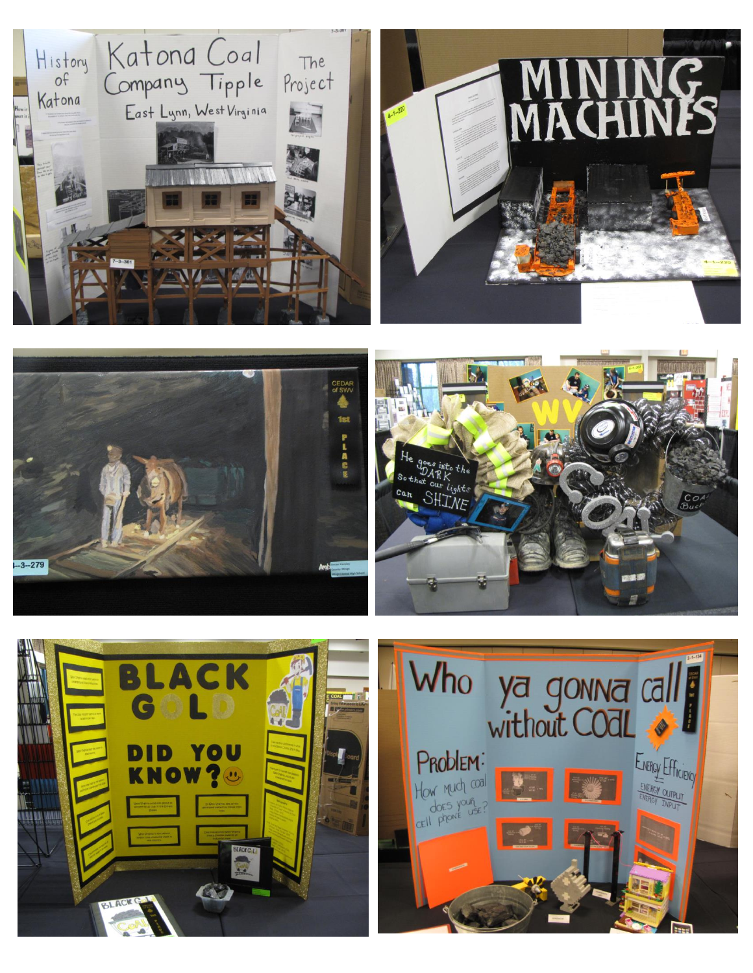